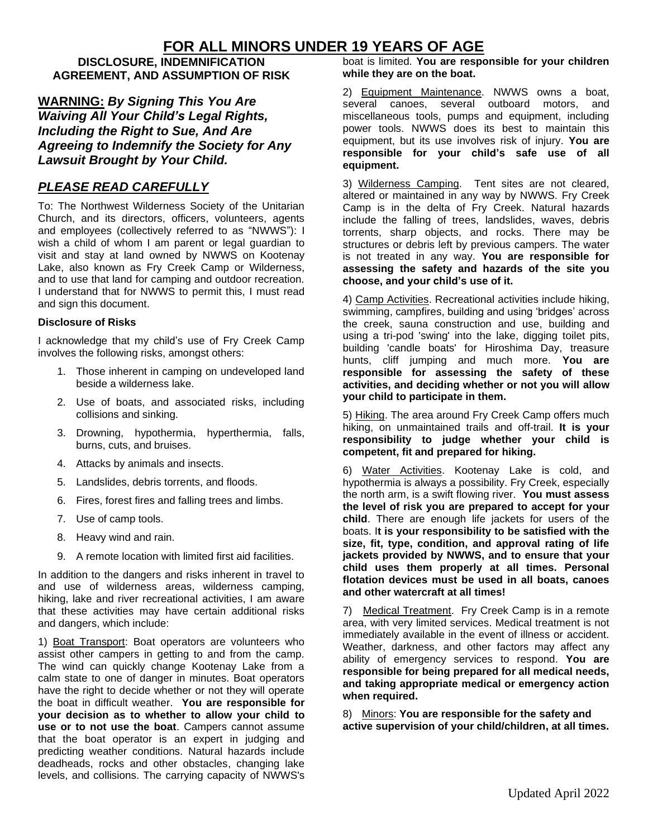# **FOR ALL MINORS UNDER 19 YEARS OF AGE**

### **DISCLOSURE, INDEMNIFICATION AGREEMENT, AND ASSUMPTION OF RISK**

**WARNING:** *By Signing This You Are Waiving All Your Child's Legal Rights, Including the Right to Sue, And Are Agreeing to Indemnify the Society for Any Lawsuit Brought by Your Child.*

## *PLEASE READ CAREFULLY*

To: The Northwest Wilderness Society of the Unitarian Church, and its directors, officers, volunteers, agents and employees (collectively referred to as "NWWS"): I wish a child of whom I am parent or legal guardian to visit and stay at land owned by NWWS on Kootenay Lake, also known as Fry Creek Camp or Wilderness, and to use that land for camping and outdoor recreation. I understand that for NWWS to permit this, I must read and sign this document.

#### **Disclosure of Risks**

I acknowledge that my child's use of Fry Creek Camp involves the following risks, amongst others:

- 1. Those inherent in camping on undeveloped land beside a wilderness lake.
- 2. Use of boats, and associated risks, including collisions and sinking.
- 3. Drowning, hypothermia, hyperthermia, falls, burns, cuts, and bruises.
- 4. Attacks by animals and insects.
- 5. Landslides, debris torrents, and floods.
- 6. Fires, forest fires and falling trees and limbs.
- 7. Use of camp tools.
- 8. Heavy wind and rain.
- 9. A remote location with limited first aid facilities.

In addition to the dangers and risks inherent in travel to and use of wilderness areas, wilderness camping, hiking, lake and river recreational activities, I am aware that these activities may have certain additional risks and dangers, which include:

1) Boat Transport: Boat operators are volunteers who assist other campers in getting to and from the camp. The wind can quickly change Kootenay Lake from a calm state to one of danger in minutes. Boat operators have the right to decide whether or not they will operate the boat in difficult weather. **You are responsible for your decision as to whether to allow your child to use or to not use the boat**. Campers cannot assume that the boat operator is an expert in judging and predicting weather conditions. Natural hazards include deadheads, rocks and other obstacles, changing lake levels, and collisions. The carrying capacity of NWWS's

boat is limited. **You are responsible for your children while they are on the boat.**

2) Equipment Maintenance. NWWS owns a boat, several canoes, several outboard motors, and miscellaneous tools, pumps and equipment, including power tools. NWWS does its best to maintain this equipment, but its use involves risk of injury. **You are responsible for your child's safe use of all equipment.**

3) Wilderness Camping. Tent sites are not cleared, altered or maintained in any way by NWWS. Fry Creek Camp is in the delta of Fry Creek. Natural hazards include the falling of trees, landslides, waves, debris torrents, sharp objects, and rocks. There may be structures or debris left by previous campers. The water is not treated in any way. **You are responsible for assessing the safety and hazards of the site you choose, and your child's use of it.**

4) Camp Activities. Recreational activities include hiking, swimming, campfires, building and using 'bridges' across the creek, sauna construction and use, building and using a tri-pod 'swing' into the lake, digging toilet pits, building 'candle boats' for Hiroshima Day, treasure hunts, cliff jumping and much more. **You are responsible for assessing the safety of these activities, and deciding whether or not you will allow your child to participate in them.**

5) Hiking. The area around Fry Creek Camp offers much hiking, on unmaintained trails and off-trail. **It is your responsibility to judge whether your child is competent, fit and prepared for hiking.**

6) Water Activities. Kootenay Lake is cold, and hypothermia is always a possibility. Fry Creek, especially the north arm, is a swift flowing river. **You must assess the level of risk you are prepared to accept for your child**. There are enough life jackets for users of the boats. I**t is your responsibility to be satisfied with the size, fit, type, condition, and approval rating of life jackets provided by NWWS, and to ensure that your child uses them properly at all times. Personal flotation devices must be used in all boats, canoes and other watercraft at all times!**

7) Medical Treatment. Fry Creek Camp is in a remote area, with very limited services. Medical treatment is not immediately available in the event of illness or accident. Weather, darkness, and other factors may affect any ability of emergency services to respond. **You are responsible for being prepared for all medical needs, and taking appropriate medical or emergency action when required.**

8) Minors: **You are responsible for the safety and active supervision of your child/children, at all times.**